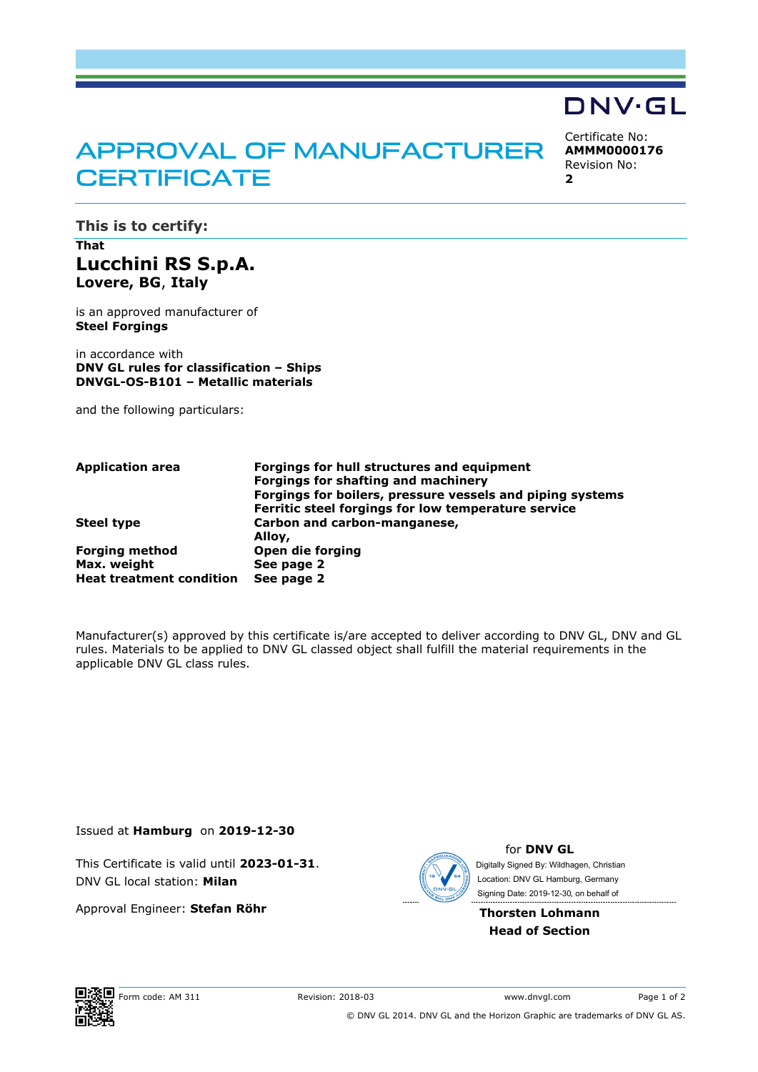# APPROVAL OF MANUFACTURER **CERTIFICATE**

Certificate No: **AMMM0000176** Revision No: **2** 

**DNV·GL** 

**This is to certify:** 

# **That Lucchini RS S.p.A. Lovere, BG**, **Italy**

is an approved manufacturer of **Steel Forgings**

in accordance with **DNV GL rules for classification – Ships DNVGL-OS-B101 – Metallic materials**

and the following particulars:

| Application area                | Forgings for hull structures and equipment                |
|---------------------------------|-----------------------------------------------------------|
|                                 | Forgings for shafting and machinery                       |
|                                 | Forgings for boilers, pressure vessels and piping systems |
|                                 | Ferritic steel forgings for low temperature service       |
| Steel tvpe                      | Carbon and carbon-manganese,                              |
|                                 | Alloy,                                                    |
| <b>Forging method</b>           | Open die forging                                          |
| Max. weight                     | See page 2                                                |
| <b>Heat treatment condition</b> | See page 2                                                |
|                                 |                                                           |

Manufacturer(s) approved by this certificate is/are accepted to deliver according to DNV GL, DNV and GL rules. Materials to be applied to DNV GL classed object shall fulfill the material requirements in the applicable DNV GL class rules.

Issued at **Hamburg** on **2019-12-30**

This Certificate is valid until **2023-01-31**. DNV GL local station: **Milan**

Approval Engineer: **Stefan Röhr**



for **DNV GL** Signing Date: 2019-12-30 , on behalf ofDigitally Signed By: Wildhagen, Christian Location: DNV GL Hamburg, Germany

#### **Thorsten Lohmann Head of Section**

Form code: AM 311 Revision: 2018-03 www.dnvgl.com Page 1 of 2 © DNV GL 2014. DNV GL and the Horizon Graphic are trademarks of DNV GL AS.